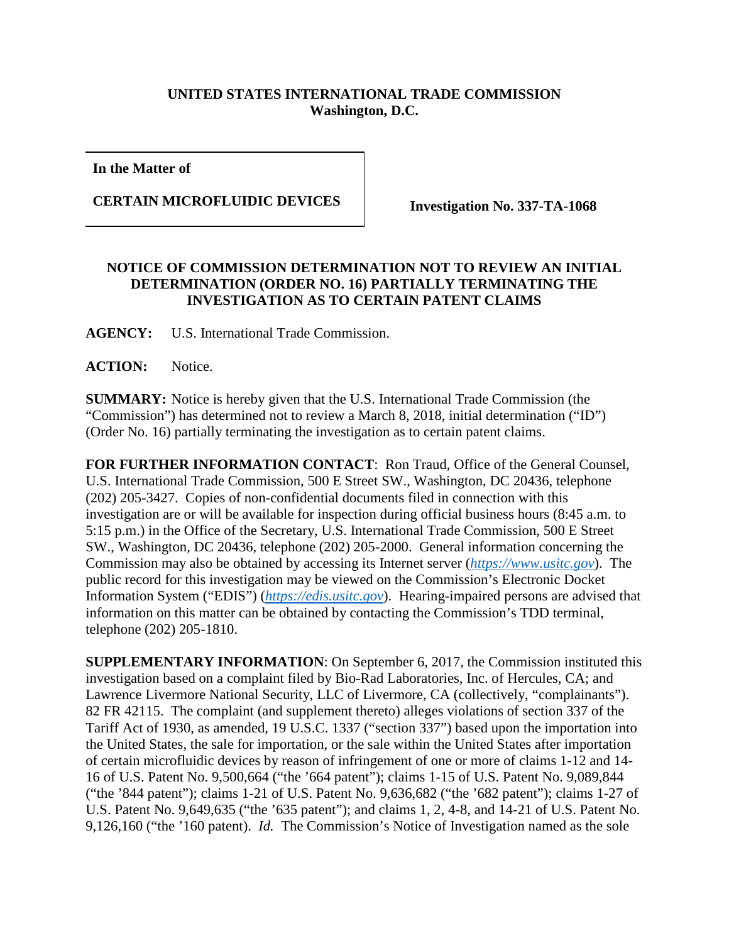## **UNITED STATES INTERNATIONAL TRADE COMMISSION Washington, D.C.**

**In the Matter of**

**CERTAIN MICROFLUIDIC DEVICES Investigation No. 337-TA-1068**

## **NOTICE OF COMMISSION DETERMINATION NOT TO REVIEW AN INITIAL DETERMINATION (ORDER NO. 16) PARTIALLY TERMINATING THE INVESTIGATION AS TO CERTAIN PATENT CLAIMS**

**AGENCY:** U.S. International Trade Commission.

**ACTION:** Notice.

**SUMMARY:** Notice is hereby given that the U.S. International Trade Commission (the "Commission") has determined not to review a March 8, 2018, initial determination ("ID") (Order No. 16) partially terminating the investigation as to certain patent claims.

**FOR FURTHER INFORMATION CONTACT**: Ron Traud, Office of the General Counsel, U.S. International Trade Commission, 500 E Street SW., Washington, DC 20436, telephone (202) 205-3427. Copies of non-confidential documents filed in connection with this investigation are or will be available for inspection during official business hours (8:45 a.m. to 5:15 p.m.) in the Office of the Secretary, U.S. International Trade Commission, 500 E Street SW., Washington, DC 20436, telephone (202) 205-2000. General information concerning the Commission may also be obtained by accessing its Internet server (*[https://www.usitc.gov](https://www.usitc.gov/)*). The public record for this investigation may be viewed on the Commission's Electronic Docket Information System ("EDIS") (*[https://edis.usitc.gov](https://edis.usitc.gov/)*). Hearing-impaired persons are advised that information on this matter can be obtained by contacting the Commission's TDD terminal, telephone (202) 205-1810.

**SUPPLEMENTARY INFORMATION**: On September 6, 2017, the Commission instituted this investigation based on a complaint filed by Bio-Rad Laboratories, Inc. of Hercules, CA; and Lawrence Livermore National Security, LLC of Livermore, CA (collectively, "complainants"). 82 FR 42115. The complaint (and supplement thereto) alleges violations of section 337 of the Tariff Act of 1930, as amended, 19 U.S.C. 1337 ("section 337") based upon the importation into the United States, the sale for importation, or the sale within the United States after importation of certain microfluidic devices by reason of infringement of one or more of claims 1-12 and 14- 16 of U.S. Patent No. 9,500,664 ("the '664 patent"); claims 1-15 of U.S. Patent No. 9,089,844 ("the '844 patent"); claims 1-21 of U.S. Patent No. 9,636,682 ("the '682 patent"); claims 1-27 of U.S. Patent No. 9,649,635 ("the '635 patent"); and claims 1, 2, 4-8, and 14-21 of U.S. Patent No. 9,126,160 ("the '160 patent). *Id.* The Commission's Notice of Investigation named as the sole